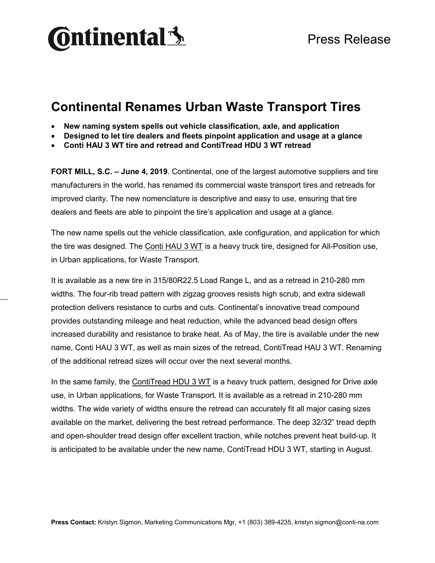

## **Continental Renames Urban Waste Transport Tires**

- **New naming system spells out vehicle classification, axle, and application**
- **Designed to let tire dealers and fleets pinpoint application and usage at a glance**
- **Conti HAU 3 WT tire and retread and ContiTread HDU 3 WT retread**

**FORT MILL, S.C. – June 4, 2019**. Continental, one of the largest automotive suppliers and tire manufacturers in the world, has renamed its commercial waste transport tires and retreads for improved clarity. The new nomenclature is descriptive and easy to use, ensuring that tire dealers and fleets are able to pinpoint the tire's application and usage at a glance.

The new name spells out the vehicle classification, axle configuration, and application for which the tire was designed. The [Conti HAU 3 WT](https://www.continental-truck.com/truck/products/tires/construction/hau3-wt) is a heavy truck tire, designed for All-Position use, in Urban applications, for Waste Transport.

It is available as a new tire in 315/80R22.5 Load Range L, and as a retread in 210-280 mm widths. The four-rib tread pattern with zigzag grooves resists high scrub, and extra sidewall protection delivers resistance to curbs and cuts. Continental's innovative tread compound provides outstanding mileage and heat reduction, while the advanced bead design offers increased durability and resistance to brake heat. As of May, the tire is available under the new name, Conti HAU 3 WT, as well as main sizes of the retread, ContiTread HAU 3 WT. Renaming of the additional retread sizes will occur over the next several months.

In the same family, the [ContiTread HDU 3 WT](https://www.continental-truck.com/truck/products/tires/construction/ccshd3) is a heavy truck pattern, designed for Drive axle use, in Urban applications, for Waste Transport. It is available as a retread in 210-280 mm widths. The wide variety of widths ensure the retread can accurately fit all major casing sizes available on the market, delivering the best retread performance. The deep 32/32" tread depth and open-shoulder tread design offer excellent traction, while notches prevent heat build-up. It is anticipated to be available under the new name, ContiTread HDU 3 WT, starting in August.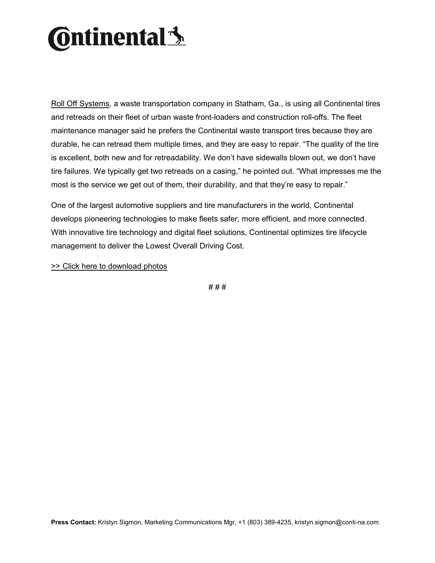## **Ontinental** \$

[Roll Off Systems,](https://www.continental-truck.com/truck/news/testimonials/cityservice) a waste transportation company in Statham, Ga., is using all Continental tires and retreads on their fleet of urban waste front-loaders and construction roll-offs. The fleet maintenance manager said he prefers the Continental waste transport tires because they are durable, he can retread them multiple times, and they are easy to repair. "The quality of the tire is excellent, both new and for retreadability. We don't have sidewalls blown out, we don't have tire failures. We typically get two retreads on a casing," he pointed out. "What impresses me the most is the service we get out of them, their durability, and that they're easy to repair."

One of the largest automotive suppliers and tire manufacturers in the world, Continental develops pioneering technologies to make fleets safer, more efficient, and more connected. With innovative tire technology and digital fleet solutions, Continental optimizes tire lifecycle management to deliver the Lowest Overall Driving Cost.

[>> Click here to download photos](https://conti-na.sharefile.com/d-sbbcbbfa06fa4181b)

# # #